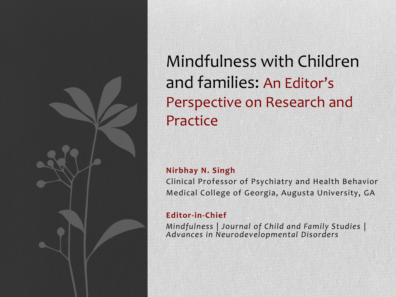

Mindfulness with Children and families: An Editor's Perspective on Research and Practice

#### **Nirbhay N. Singh**

Clinical Professor of Psychiatry and Health Behavior Medical College of Georgia, Augusta University, GA

#### **Editor-in-Chief**

*Mindfulness* | *Journal of Child and Family Studies* | *Advances in Neurodevelopmental Disorders*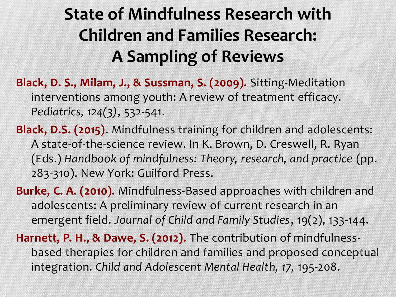## **State of Mindfulness Research with Children and Families Research: A Sampling of Reviews**

**Black, D. S., Milam, J., & Sussman, S. (2009).** Sitting-Meditation interventions among youth: A review of treatment efficacy. *Pediatrics, 124(3)*, 532-541.

**Black, D.S. (2015)**. Mindfulness training for children and adolescents: A state-of-the-science review. In K. Brown, D. Creswell, R. Ryan (Eds.) *Handbook of mindfulness: Theory, research, and practice* (pp. 283-310). New York: Guilford Press.

**Burke, C. A. (2010).** Mindfulness-Based approaches with children and adolescents: A preliminary review of current research in an emergent field. *Journal of Child and Family Studies*, 19(2), 133-144.

**Harnett, P. H., & Dawe, S. (2012).** The contribution of mindfulnessbased therapies for children and families and proposed conceptual integration. *Child and Adolescent Mental Health, 17,* 195-208.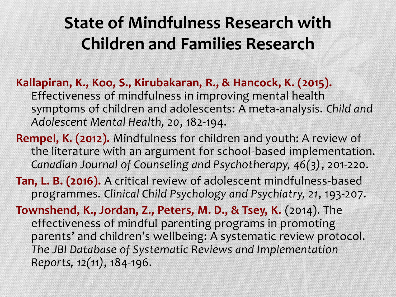## **State of Mindfulness Research with Children and Families Research**

- **Kallapiran, K., Koo, S., Kirubakaran, R., & Hancock, K. (2015).**  Effectiveness of mindfulness in improving mental health symptoms of children and adolescents: A meta-analysis. *Child and Adolescent Mental Health, 20*, 182-194.
- **Rempel, K. (2012).** Mindfulness for children and youth: A review of the literature with an argument for school-based implementation. *Canadian Journal of Counseling and Psychotherapy, 46(3)*, 201-220.
- **Tan, L. B. (2016).** A critical review of adolescent mindfulness-based programmes*. Clinical Child Psychology and Psychiatry, 21*, 193-207.
- **Townshend, K., Jordan, Z., Peters, M. D., & Tsey, K.** (2014). The effectiveness of mindful parenting programs in promoting parents' and children's wellbeing: A systematic review protocol. *The JBI Database of Systematic Reviews and Implementation Reports, 12(11)*, 184-196.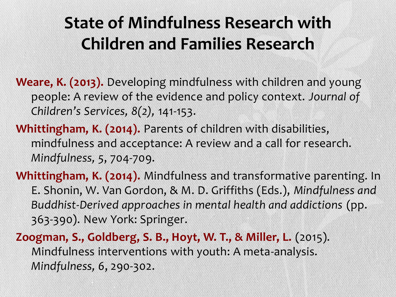## **State of Mindfulness Research with Children and Families Research**

**Weare, K. (2013).** Developing mindfulness with children and young people: A review of the evidence and policy context. *Journal of Children's Services, 8(2),* 141-153.

**Whittingham, K. (2014).** Parents of children with disabilities, mindfulness and acceptance: A review and a call for research. *Mindfulness, 5*, 704-709.

**Whittingham, K. (2014).** Mindfulness and transformative parenting. In E. Shonin, W. Van Gordon, & M. D. Griffiths (Eds.), *Mindfulness and Buddhist-Derived approaches in mental health and addictions* (pp. 363-390). New York: Springer.

**Zoogman, S., Goldberg, S. B., Hoyt, W. T., & Miller, L.** (2015). Mindfulness interventions with youth: A meta-analysis. *Mindfulness, 6*, 290-302.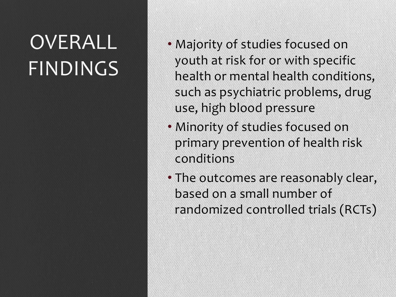# OVERALL FINDINGS

- Majority of studies focused on youth at risk for or with specific health or mental health conditions, such as psychiatric problems, drug use, high blood pressure
- Minority of studies focused on primary prevention of health risk conditions
- The outcomes are reasonably clear, based on a small number of randomized controlled trials (RCTs)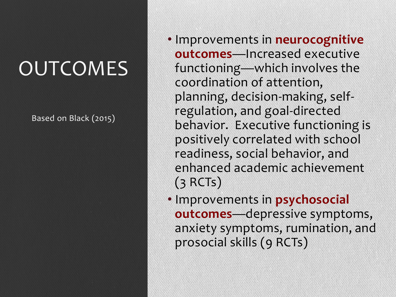## **OUTCOMES**

Based on Black (2015)

- Improvements in **neurocognitive outcomes**—Increased executive functioning—which involves the coordination of attention, planning, decision-making, selfregulation, and goal-directed behavior. Executive functioning is positively correlated with school readiness, social behavior, and enhanced academic achievement (3 RCTs)
- Improvements in **psychosocial outcomes**—depressive symptoms, anxiety symptoms, rumination, and prosocial skills (9 RCTs)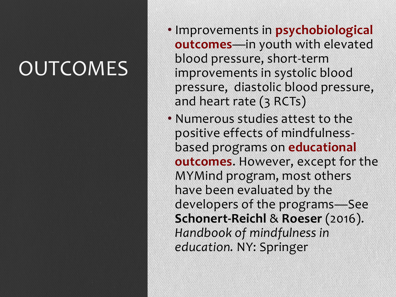# **OUTCOMES**

- Improvements in **psychobiological outcomes**—in youth with elevated blood pressure, short-term improvements in systolic blood pressure, diastolic blood pressure, and heart rate (3 RCTs)
- Numerous studies attest to the positive effects of mindfulnessbased programs on **educational outcomes**. However, except for the MYMind program, most others have been evaluated by the developers of the programs—See **Schonert-Reichl** & **Roeser** (2016). *Handbook of mindfulness in education.* NY: Springer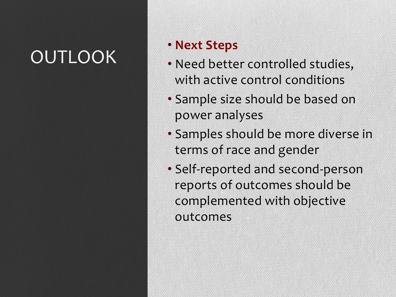## OUTLOOK

### • **Next Steps**

- Need better controlled studies, with active control conditions
- Sample size should be based on power analyses
- Samples should be more diverse in terms of race and gender
- Self-reported and second-person reports of outcomes should be complemented with objective outcomes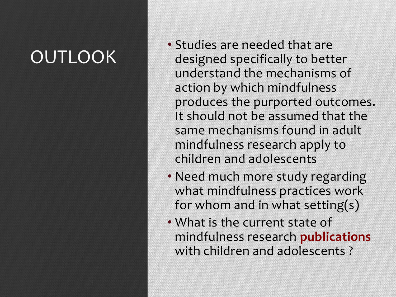## OUTLOOK

- Studies are needed that are designed specifically to better understand the mechanisms of action by which mindfulness produces the purported outcomes. It should not be assumed that the same mechanisms found in adult mindfulness research apply to children and adolescents
- Need much more study regarding what mindfulness practices work for whom and in what setting(s)
- What is the current state of mindfulness research **publications** with children and adolescents ?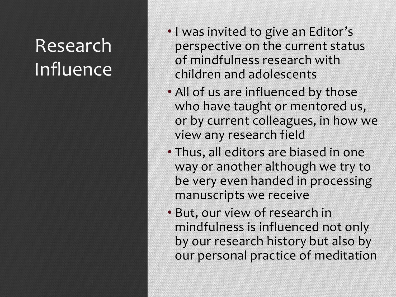## Research Influence

- I was invited to give an Editor's perspective on the current status of mindfulness research with children and adolescents
- All of us are influenced by those who have taught or mentored us, or by current colleagues, in how we view any research field
- Thus, all editors are biased in one way or another although we try to be very even handed in processing manuscripts we receive
- But, our view of research in mindfulness is influenced not only by our research history but also by our personal practice of meditation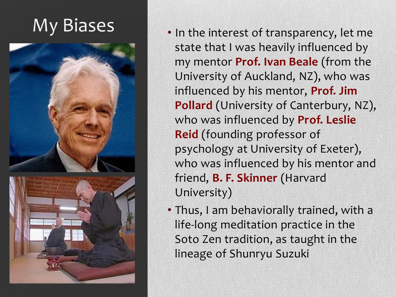



- My Biases In the interest of transparency, let me state that I was heavily influenced by my mentor **Prof. Ivan Beale** (from the University of Auckland, NZ), who was influenced by his mentor, **Prof. Jim Pollard** (University of Canterbury, NZ), who was influenced by **Prof. Leslie Reid** (founding professor of psychology at University of Exeter), who was influenced by his mentor and friend, **B. F. Skinner** (Harvard University)
	- Thus, I am behaviorally trained, with a life-long meditation practice in the Soto Zen tradition, as taught in the lineage of Shunryu Suzuki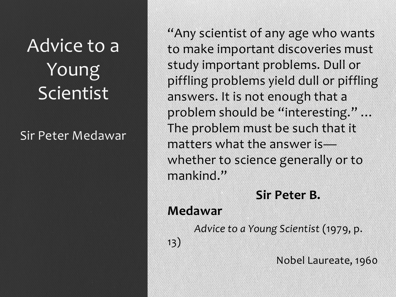## Advice to a Young Scientist

#### Sir Peter Medawar

"Any scientist of any age who wants to make important discoveries must study important problems. Dull or piffling problems yield dull or piffling answers. It is not enough that a problem should be "interesting." … The problem must be such that it matters what the answer is whether to science generally or to mankind."

#### **Sir Peter B.**

**Medawar**

 *Advice to a Young Scientist* (1979, p.

13)

Nobel Laureate, 1960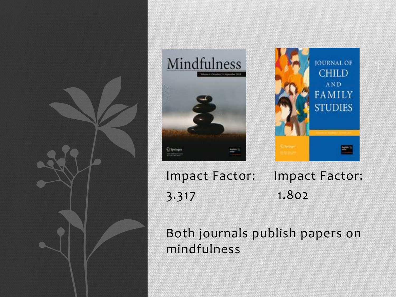





Impact Factor: Impact Factor: 3.317 1.802

Both journals publish papers on mindfulness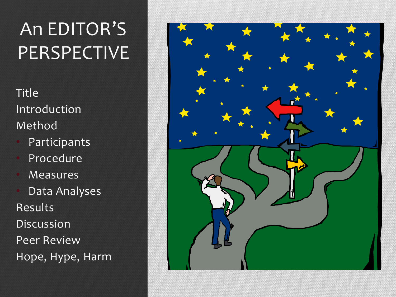## An EDITOR'S PERSPECTIVE<sup>'</sup>

Title Introduction Method

- **Participants**
- **Procedure**
- **Measures**
- Data Analyses Results Discussion Peer Review Hope, Hype, Harm

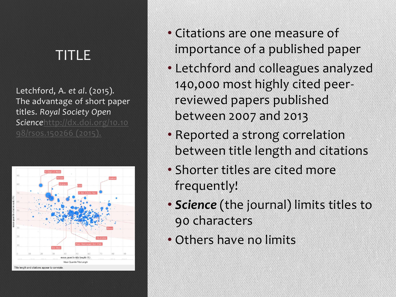### TITLE

Letchford, A. *et al*. (2015)*.*  The advantage of short paper titles. *Royal Society Open Science*[http://dx.doi.org/10.10](http://dx.doi.org/10.1098/rsos.150266)



- Citations are one measure of importance of a published paper
- Letchford and colleagues analyzed 140,000 most highly cited peerreviewed papers published between 2007 and 2013
- Reported a strong correlation between title length and citations
- Shorter titles are cited more frequently!
- *Science* (the journal) limits titles to 90 characters
- Others have no limits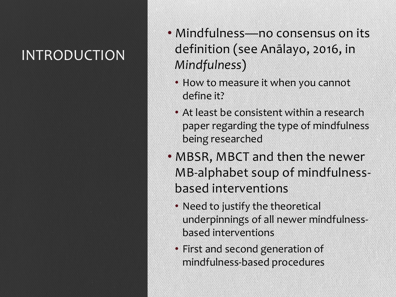## INTRODUCTION

- Mindfulness—no consensus on its definition (see Anālayo, 2016, in *Mindfulness*)
	- How to measure it when you cannot define it?
	- At least be consistent within a research paper regarding the type of mindfulness being researched
- MBSR, MBCT and then the newer MB-alphabet soup of mindfulnessbased interventions
	- Need to justify the theoretical underpinnings of all newer mindfulnessbased interventions
	- First and second generation of mindfulness-based procedures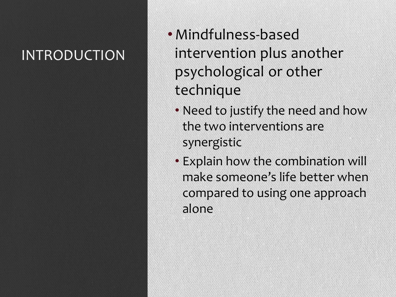### INTRODUCTION

- •Mindfulness-based intervention plus another psychological or other technique
	- Need to justify the need and how the two interventions are synergistic
	- Explain how the combination will make someone's life better when compared to using one approach alone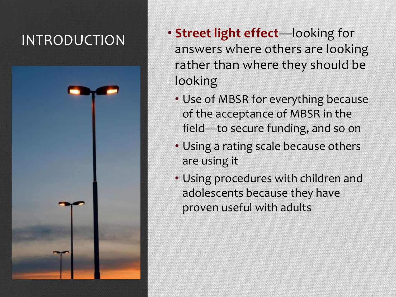### INTRODUCTION



- **Street light effect**—looking for answers where others are looking rather than where they should be looking
	- Use of MBSR for everything because of the acceptance of MBSR in the field—to secure funding, and so on
	- Using a rating scale because others are using it
	- Using procedures with children and adolescents because they have proven useful with adults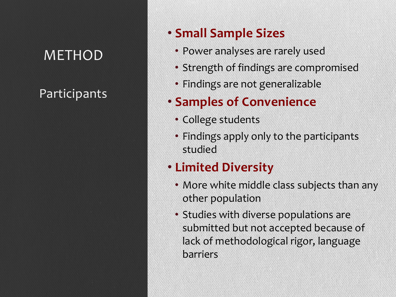#### Participants

#### • **Small Sample Sizes**

- Power analyses are rarely used
- Strength of findings are compromised
- Findings are not generalizable

#### • **Samples of Convenience**

- College students
- Findings apply only to the participants studied

#### • **Limited Diversity**

- More white middle class subjects than any other population
- Studies with diverse populations are submitted but not accepted because of lack of methodological rigor, language barriers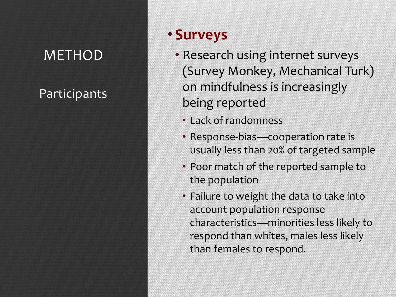#### Participants

#### • **Surveys**

- Research using internet surveys (Survey Monkey, Mechanical Turk) on mindfulness is increasingly being reported
	- Lack of randomness
	- Response-bias—cooperation rate is usually less than 20% of targeted sample
	- Poor match of the reported sample to the population
	- Failure to weight the data to take into account population response characteristics—minorities less likely to respond than whites, males less likely than females to respond.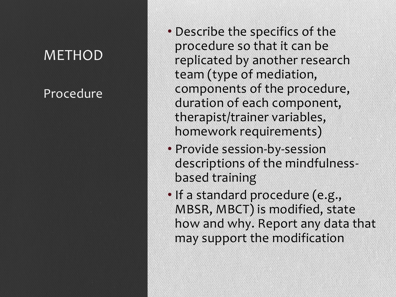#### Procedure

- Describe the specifics of the procedure so that it can be replicated by another research team (type of mediation, components of the procedure, duration of each component, therapist/trainer variables, homework requirements)
- Provide session-by-session descriptions of the mindfulness based training
- If a standard procedure (e.g., MBSR, MBCT) is modified, state how and why. Report any data that may support the modification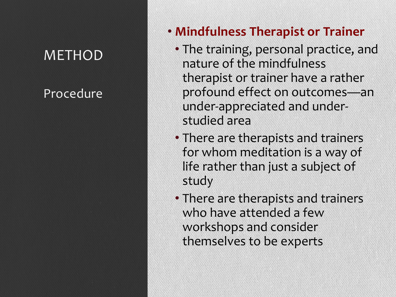#### Procedure

#### • **Mindfulness Therapist or Trainer**

- The training, personal practice, and nature of the mindfulness therapist or trainer have a rather profound effect on outcomes —an under -appreciated and under studied area
- There are therapists and trainers for whom meditation is a way of life rather than just a subject of study
- There are therapists and trainers who have attended a few workshops and consider themselves to be experts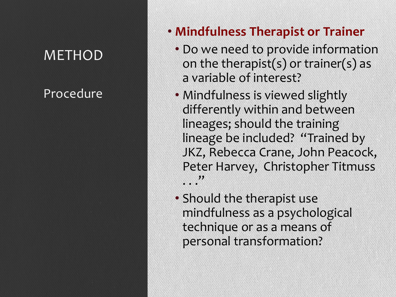Procedure

#### • **Mindfulness Therapist or Trainer**

- Do we need to provide information on the therapist(s) or trainer(s) as a variable of interest?
- Mindfulness is viewed slightly differently within and between lineages; should the training lineage be included? "Trained by JKZ, Rebecca Crane, John Peacock, Peter Harvey, Christopher Titmuss . . . "
- Should the therapist use mindfulness as a psychological technique or as a means of personal transformation?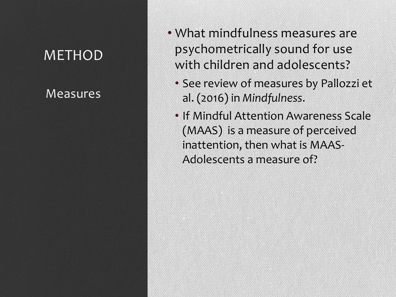#### Measures

- What mindfulness measures are psychometrically sound for use with children and adolescents?
	- See review of measures by Pallozzi et al. (2016) in *Mindfulness*.
	- If Mindful Attention Awareness Scale (MAAS) is a measure of perceived inattention, then what is MAAS-Adolescents a measure of?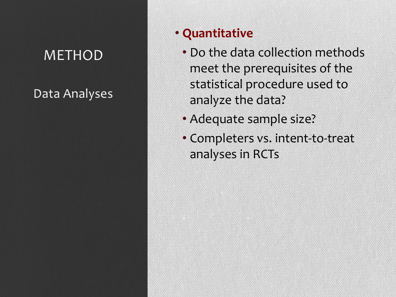Data Analyses

#### • **Quantitative**

- Do the data collection methods meet the prerequisites of the statistical procedure used to analyze the data?
- Adequate sample size?
- Completers vs. intent-to-treat analyses in RCTs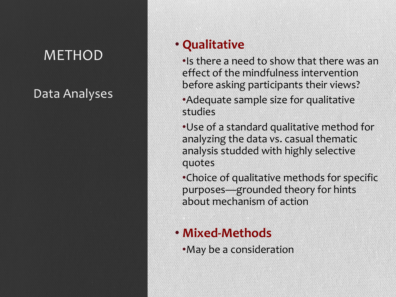#### Data Analyses

#### • **Qualitative**

•Is there a need to show that there was an effect of the mindfulness intervention before asking participants their views?

•Adequate sample size for qualitative studies

•Use of a standard qualitative method for analyzing the data vs. casual thematic analysis studded with highly selective quotes

•Choice of qualitative methods for specific purposes—grounded theory for hints about mechanism of action

#### • **Mixed-Methods**

•May be a consideration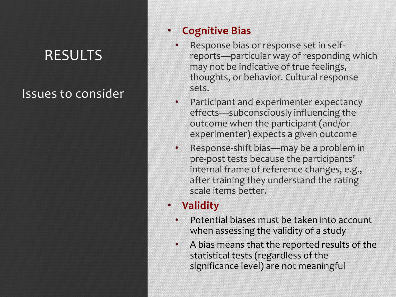### RESULTS

#### Issues to consider

#### • **Cognitive Bias**

- Response bias or response set in selfreports—particular way of responding which may not be indicative of true feelings, thoughts, or behavior. Cultural response sets.
- Participant and experimenter expectancy effects—subconsciously influencing the outcome when the participant (and/or experimenter) expects a given outcome
- Response-shift bias—may be a problem in pre-post tests because the participants' internal frame of reference changes, e.g., after training they understand the rating scale items better.

#### • **Validity**

- Potential biases must be taken into account when assessing the validity of a study
- A bias means that the reported results of the statistical tests (regardless of the significance level) are not meaningful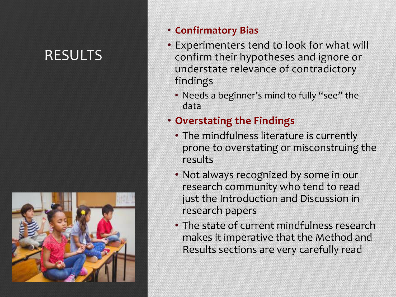### RESULTS



#### • **Confirmatory Bias**

- Experimenters tend to look for what will confirm their hypotheses and ignore or understate relevance of contradictory findings
	- Needs a beginner's mind to fully "see" the data
- **Overstating the Findings**
	- The mindfulness literature is currently prone to overstating or misconstruing the results
	- Not always recognized by some in our research community who tend to read just the Introduction and Discussion in research papers
	- The state of current mindfulness research makes it imperative that the Method and Results sections are very carefully read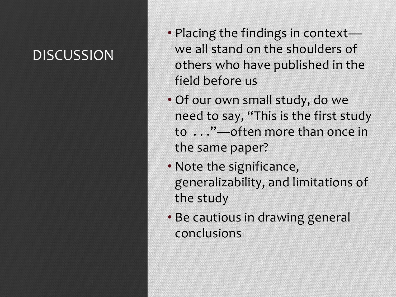### **DISCUSSION**

- Placing the findings in context we all stand on the shoulders of others who have published in the field before us
- Of our own small study, do we need to say, "This is the first study to . . ."—often more than once in the same paper?
- Note the significance, generalizability, and limitations of the study
- Be cautious in drawing general conclusions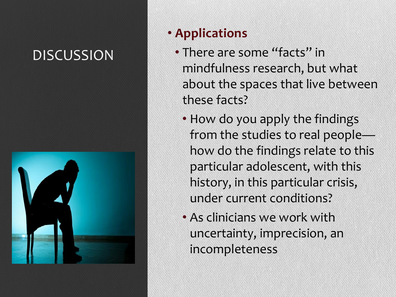### **DISCUSSION**



#### • **Applications**

- There are some "facts" in mindfulness research, but what about the spaces that live between these facts?
	- How do you apply the findings from the studies to real people how do the findings relate to this particular adolescent, with this history, in this particular crisis, under current conditions?
	- As clinicians we work with uncertainty, imprecision, an incompleteness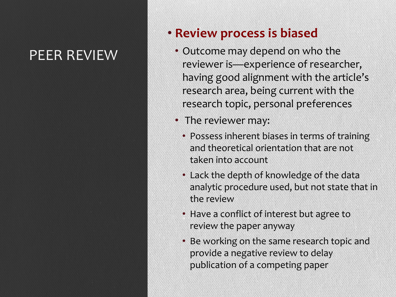### PEER REVIEW

#### • **Review process is biased**

- Outcome may depend on who the reviewer is—experience of researcher, having good alignment with the article's research area, being current with the research topic, personal preferences
- The reviewer may:
	- Possess inherent biases in terms of training and theoretical orientation that are not taken into account
	- Lack the depth of knowledge of the data analytic procedure used, but not state that in the review
	- Have a conflict of interest but agree to review the paper anyway
	- Be working on the same research topic and provide a negative review to delay publication of a competing paper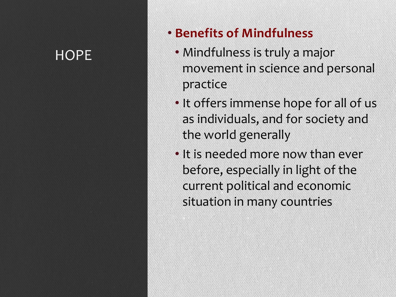#### **HOPE**

#### • **Benefits of Mindfulness**

- Mindfulness is truly a major movement in science and personal practice
- It offers immense hope for all of us as individuals, and for society and the world generally
- It is needed more now than ever before, especially in light of the current political and economic situation in many countries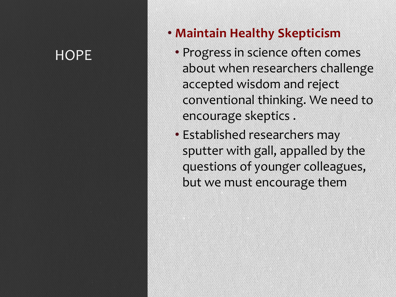#### **HOPE**

#### • **Maintain Healthy Skepticism**

- Progress in science often comes about when researchers challenge accepted wisdom and reject conventional thinking. We need to encourage skeptics .
- Established researchers may sputter with gall, appalled by the questions of younger colleagues, but we must encourage them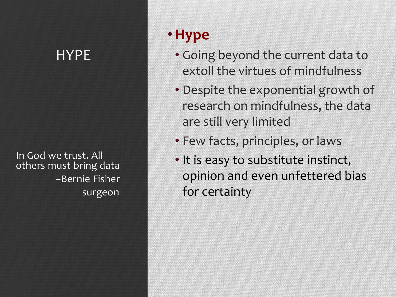In God we trust. All others must bring data --Bernie Fisher surgeon

### •**Hype**

- Going beyond the current data to extoll the virtues of mindfulness
- Despite the exponential growth of research on mindfulness, the data are still very limited
- Few facts, principles, or laws
- It is easy to substitute instinct, opinion and even unfettered bias for certainty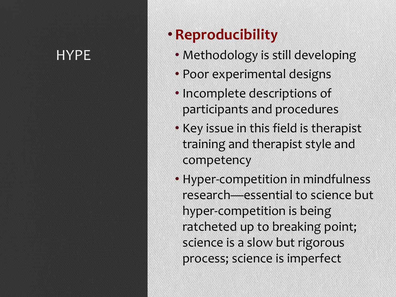### •**Reproducibility**

- Methodology is still developing
- Poor experimental designs
- Incomplete descriptions of participants and procedures
- Key issue in this field is therapist training and therapist style and competency
- Hyper-competition in mindfulness research—essential to science but hyper-competition is being ratcheted up to breaking point; science is a slow but rigorous process; science is imperfect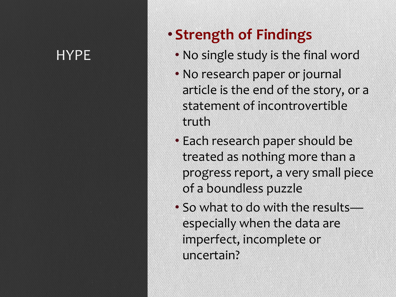### • **Strength of Findings**

- No single study is the final word
- No research paper or journal article is the end of the story, or a statement of incontrovertible truth
- Each research paper should be treated as nothing more than a progress report, a very small piece of a boundless puzzle
- So what to do with the results especially when the data are imperfect, incomplete or uncertain?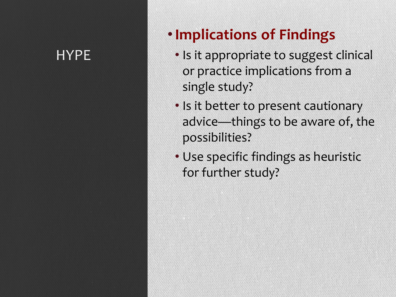### •**Implications of Findings**

- Is it appropriate to suggest clinical or practice implications from a single study?
- Is it better to present cautionary advice —things to be aware of, the possibilities?
- Use specific findings as heuristic for further study?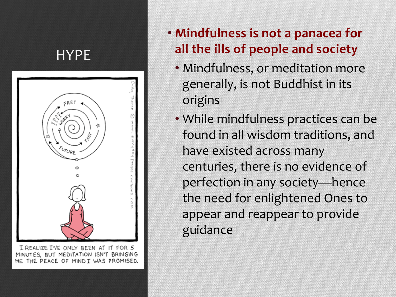

I REALIZE I'VE ONLY BEEN AT IT FOR 5 MINUTES, BUT MEDITATION ISN'T BRINGING THE PEACE OF MINDI WAS PROMISED.

#### • **Mindfulness is not a panacea for all the ills of people and society**

- Mindfulness, or meditation more generally, is not Buddhist in its origins
- While mindfulness practices can be found in all wisdom traditions, and have existed across many centuries, there is no evidence of perfection in any society —hence the need for enlightened Ones to appear and reappear to provide guidance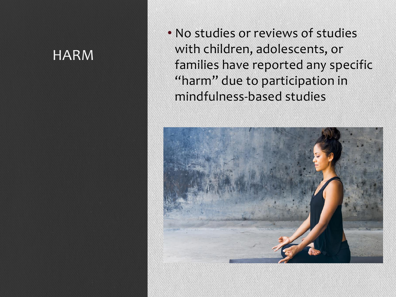#### HARM

• No studies or reviews of studies with children, adolescents, or families have reported any specific "harm" due to participation in mindfulness -based studies

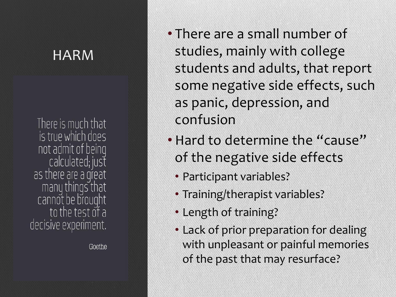#### HARM

There is much that is true which does not admit of being calculated; just as there are a great many things that cannot be brought to the test of a decisive experiment.

Goethe

- There are a small number of studies, mainly with college students and adults, that report some negative side effects, such as panic, depression, and confusion
- Hard to determine the "cause" of the negative side effects
	- Participant variables?
	- Training/therapist variables?
	- Length of training?
	- Lack of prior preparation for dealing with unpleasant or painful memories of the past that may resurface?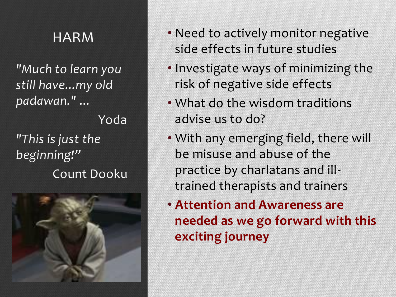*"Much to learn you still have...my old padawan."* ...

 Yoda *"This is just the beginning!"* Count Dooku



- HARM Need to actively monitor negative side effects in future studies
	- Investigate ways of minimizing the risk of negative side effects
	- What do the wisdom traditions advise us to do?
	- With any emerging field, there will be misuse and abuse of the practice by charlatans and illtrained therapists and trainers
	- **Attention and Awareness are needed as we go forward with this exciting journey**